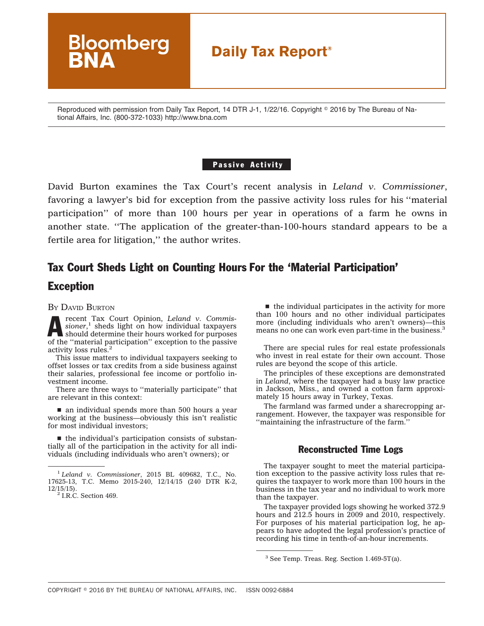# **Daily Tax Report®**

Reproduced with permission from Daily Tax Report, 14 DTR J-1, 1/22/16. Copyright © 2016 by The Bureau of National Affairs, Inc. (800-372-1033) http://www.bna.com

#### Passive Activity

David Burton examines the Tax Court's recent analysis in *[Leland](http://www.bloomberglaw.com/public/document/Leland_v_Commissioner_No_1762513_TC_Memo_2015240_2015_BL_409682_C) v. Co[mmissioner](http://www.bloomberglaw.com/public/document/Leland_v_Commissioner_No_1762513_TC_Memo_2015240_2015_BL_409682_C)*, favoring a lawyer's bid for exception from the passive activity loss rules for his ''material participation'' of more than 100 hours per year in operations of a farm he owns in another state. ''The application of the greater-than-100-hours standard appears to be a fertile area for litigation,'' the author writes.

## Tax Court Sheds Light on Counting Hours For the 'Material Participation'

### Exception

BY DAVID BURTON

**Arecent Tax Court Opinion,** *Leland v. Commissioner*,<sup>1</sup> sheds light on how individual taxpayers should determine their hours worked for purposes *[sioner](http://www.bloomberglaw.com/public/document/Leland_v_Commissioner_No_1762513_TC_Memo_2015240_2015_BL_409682_C)*, <sup>1</sup> sheds light on how individual taxpayers of the ''material participation'' exception to the passive activity loss rules.<sup>2</sup>

**Bloomberg** 

This issue matters to individual taxpayers seeking to offset losses or tax credits from a side business against their salaries, professional fee income or portfolio investment income.

There are three ways to ''materially participate'' that are relevant in this context:

 $\blacksquare$  an individual spends more than 500 hours a year working at the business—obviously this isn't realistic for most individual investors;

 $\blacksquare$  the individual's participation consists of substantially all of the participation in the activity for all individuals (including individuals who aren't owners); or

 $\blacksquare$  the individual participates in the activity for more than 100 hours and no other individual participates more (including individuals who aren't owners)—this means no one can work even part-time in the business.<sup>3</sup>

There are special rules for real estate professionals who invest in real estate for their own account. Those rules are beyond the scope of this article.

The principles of these exceptions are demonstrated in *Leland*, where the taxpayer had a busy law practice in Jackson, Miss., and owned a cotton farm approximately 15 hours away in Turkey, Texas.

The farmland was farmed under a sharecropping arrangement. However, the taxpayer was responsible for ''maintaining the infrastructure of the farm.''

#### Reconstructed Time Logs

The taxpayer sought to meet the material participation exception to the passive activity loss rules that requires the taxpayer to work more than 100 hours in the business in the tax year and no individual to work more than the taxpayer.

The taxpayer provided logs showing he worked 372.9 hours and 212.5 hours in 2009 and 2010, respectively. For purposes of his material participation log, he appears to have adopted the legal profession's practice of recording his time in tenth-of-an-hour increments.

<sup>1</sup> *[Leland v. Commissioner](http://www.bloomberglaw.com/public/document/Leland_v_Commissioner_No_1762513_TC_Memo_2015240_2015_BL_409682_C)*, 2015 BL 409682, T.C., No. 17625-13, T.C. Memo 2015-240, 12/14/15 (240 DTR K-2,  $12/15/15$ .<br><sup>2</sup> I.R.C. Section 469.

<sup>3</sup> See Temp. Treas. Reg. Section 1.469-5T(a).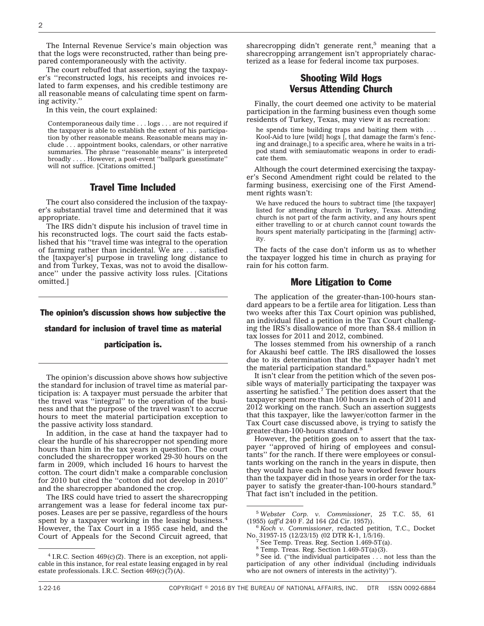The Internal Revenue Service's main objection was that the logs were reconstructed, rather than being prepared contemporaneously with the activity.

The court rebuffed that assertion, saying the taxpayer's ''reconstructed logs, his receipts and invoices related to farm expenses, and his credible testimony are all reasonable means of calculating time spent on farming activity.''

In this vein, the court explained:

Contemporaneous daily time . . . logs . . . are not required if the taxpayer is able to establish the extent of his participation by other reasonable means. Reasonable means may include . . . appointment books, calendars, or other narrative summaries. The phrase ''reasonable means'' is interpreted broadly .... However, a post-event ''ballpark guesstimate'' will not suffice. [Citations omitted.]

#### Travel Time Included

The court also considered the inclusion of the taxpayer's substantial travel time and determined that it was appropriate.

The IRS didn't dispute his inclusion of travel time in his reconstructed logs. The court said the facts established that his ''travel time was integral to the operation of farming rather than incidental. We are . . . satisfied the [taxpayer's] purpose in traveling long distance to and from Turkey, Texas, was not to avoid the disallowance'' under the passive activity loss rules. [Citations omitted.]

## The opinion's discussion shows how subjective the standard for inclusion of travel time as material

#### participation is.

The opinion's discussion above shows how subjective the standard for inclusion of travel time as material participation is: A taxpayer must persuade the arbiter that the travel was ''integral'' to the operation of the business and that the purpose of the travel wasn't to accrue hours to meet the material participation exception to the passive activity loss standard.

In addition, in the case at hand the taxpayer had to clear the hurdle of his sharecropper not spending more hours than him in the tax years in question. The court concluded the sharecropper worked 29-30 hours on the farm in 2009, which included 16 hours to harvest the cotton. The court didn't make a comparable conclusion for 2010 but cited the ''cotton did not develop in 2010'' and the sharecropper abandoned the crop.

The IRS could have tried to assert the sharecropping arrangement was a lease for federal income tax purposes. Leases are per se passive, regardless of the hours spent by a taxpayer working in the leasing business.<sup>4</sup> However, the Tax Court in a 1955 case held, and the Court of Appeals for the Second Circuit agreed, that sharecropping didn't generate rent,<sup>5</sup> meaning that a sharecropping arrangement isn't appropriately characterized as a lease for federal income tax purposes.

### Shooting Wild Hogs Versus Attending Church

Finally, the court deemed one activity to be material participation in the farming business even though some residents of Turkey, Texas, may view it as recreation:

he spends time building traps and baiting them with . . . Kool-Aid to lure [wild] hogs [, that damage the farm's fencing and drainage,] to a specific area, where he waits in a tripod stand with semiautomatic weapons in order to eradicate them.

Although the court determined exercising the taxpayer's Second Amendment right could be related to the farming business, exercising one of the First Amendment rights wasn't:

We have reduced the hours to subtract time [the taxpayer] listed for attending church in Turkey, Texas. Attending church is not part of the farm activity, and any hours spent either travelling to or at church cannot count towards the hours spent materially participating in the [farming] activity.

The facts of the case don't inform us as to whether the taxpayer logged his time in church as praying for rain for his cotton farm.

#### More Litigation to Come

The application of the greater-than-100-hours standard appears to be a fertile area for litigation. Less than two weeks after this Tax Court opinion was published, an individual filed a petition in the Tax Court challenging the IRS's disallowance of more than \$8.4 million in tax losses for 2011 and 2012, combined.

The losses stemmed from his ownership of a ranch for Akaushi beef cattle. The IRS disallowed the losses due to its determination that the taxpayer hadn't met the material participation standard.<sup>6</sup>

It isn't clear from the petition which of the seven possible ways of materially participating the taxpayer was<br>asserting he satisfied.<sup>7</sup> The petition does assert that the taxpayer spent more than  $100$  hours in each of 2011 and 2012 working on the ranch. Such an assertion suggests that this taxpayer, like the lawyer/cotton farmer in the Tax Court case discussed above, is trying to satisfy the greater-than-100-hours standard.<sup>8</sup>

However, the petition goes on to assert that the taxpayer ''approved of hiring of employees and consultants'' for the ranch. If there were employees or consultants working on the ranch in the years in dispute, then they would have each had to have worked fewer hours than the taxpayer did in those years in order for the taxpayer to satisfy the greater-than-100-hours standard.<sup>9</sup> That fact isn't included in the petition.

 $4$  I.R.C. Section  $469(c)(2)$ . There is an exception, not applicable in this instance, for real estate leasing engaged in by real estate professionals. I.R.C. Section  $469(c)(7)(A)$ .

<sup>5</sup> *Webster Corp. v. Commissioner*, 25 T.C. 55, 61

<sup>&</sup>lt;sup>6</sup> Koch v. Commissioner, redacted petition, T.C., Docket No. 31957-15 (12/23/15) (02 DTR K-1, 1/5/16).

See Temp. Treas. Reg. Section 1.469-5T(a).

 $8$  Temp. Treas. Reg. Section 1.469-5T(a)(3).

<sup>&</sup>lt;sup>9</sup> See id. ("the individual participates ... not less than the participation of any other individual (including individuals who are not owners of interests in the activity)'').